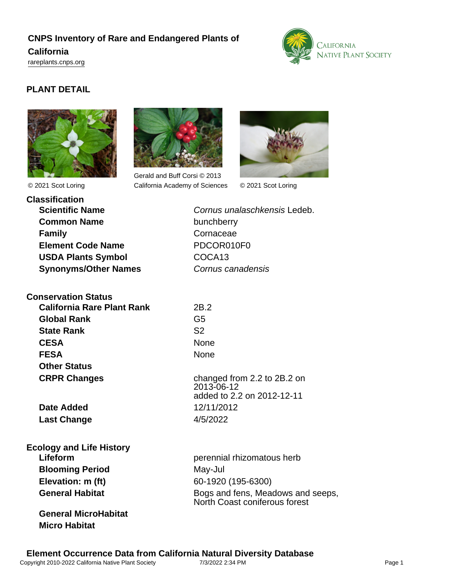# **CNPS Inventory of Rare and Endangered Plants of California** <rareplants.cnps.org>



# **PLANT DETAIL**



© 2021 Scot Loring



Gerald and Buff Corsi © 2013 California Academy of Sciences © 2021 Scot Loring



**Classification Scientific Name** Cornus unalaschkensis Ledeb. **Common Name** bunchberry **Family** Cornaceae **Element Code Name** PDCOR010F0 USDA Plants Symbol COCA13 **Synonyms/Other Names Cornus canadensis** 

**Conservation Status California Rare Plant Rank** 2B.2 **Global Rank** G5 **State Rank** S2 **CESA** None **FESA** None **Other Status CRPR Changes** changed from 2.2 to 2B.2 on

**Last Change** 4/5/2022

# **Ecology and Life History Blooming Period** May-Jul **Elevation: m (ft)** 60-1920 (195-6300)

**General MicroHabitat Micro Habitat**

2013-06-12 added to 2.2 on 2012-12-11 **Date Added** 12/11/2012

**Lifeform perennial rhizomatous herb perennial rhizomatous herb** General Habitat **Bogs** and fens, Meadows and seeps, North Coast coniferous forest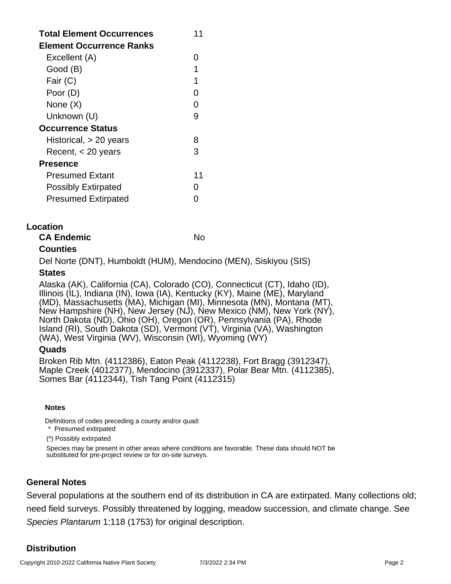| <b>Total Element Occurrences</b><br>Element Occurrence Ranks | 11 |
|--------------------------------------------------------------|----|
| Excellent (A)                                                | O  |
| Good (B)                                                     | 1  |
| Fair (C)                                                     | 1  |
| Poor (D)                                                     |    |
| None (X)                                                     |    |
| Unknown (U)                                                  | g  |
| <b>Occurrence Status</b>                                     |    |
| Historical, > 20 years                                       | 8  |
| Recent, $<$ 20 years                                         | З  |
| <b>Presence</b>                                              |    |
| <b>Presumed Extant</b>                                       | 11 |
| <b>Possibly Extirpated</b>                                   |    |
| <b>Presumed Extirpated</b>                                   |    |

## **Location**

|               | <b>CA Endemic</b> | No |
|---------------|-------------------|----|
| $\rightarrow$ |                   |    |

## **Counties**

Del Norte (DNT), Humboldt (HUM), Mendocino (MEN), Siskiyou (SIS)

#### **States**

Alaska (AK), California (CA), Colorado (CO), Connecticut (CT), Idaho (ID), Illinois (IL), Indiana (IN), Iowa (IA), Kentucky (KY), Maine (ME), Maryland (MD), Massachusetts (MA), Michigan (MI), Minnesota (MN), Montana (MT), New Hampshire (NH), New Jersey (NJ), New Mexico (NM), New York (NY), North Dakota (ND), Ohio (OH), Oregon (OR), Pennsylvania (PA), Rhode Island (RI), South Dakota (SD), Vermont (VT), Virginia (VA), Washington (WA), West Virginia (WV), Wisconsin (WI), Wyoming (WY)

## **Quads**

Broken Rib Mtn. (4112386), Eaton Peak (4112238), Fort Bragg (3912347), Maple Creek (4012377), Mendocino (3912337), Polar Bear Mtn. (4112385), Somes Bar (4112344), Tish Tang Point (4112315)

#### **Notes**

Definitions of codes preceding a county and/or quad:

\* Presumed extirpated

(\*) Possibly extirpated

Species may be present in other areas where conditions are favorable. These data should NOT be substituted for pre-project review or for on-site surveys.

## **General Notes**

Several populations at the southern end of its distribution in CA are extirpated. Many collections old; need field surveys. Possibly threatened by logging, meadow succession, and climate change. See Species Plantarum 1:118 (1753) for original description.

## **Distribution**